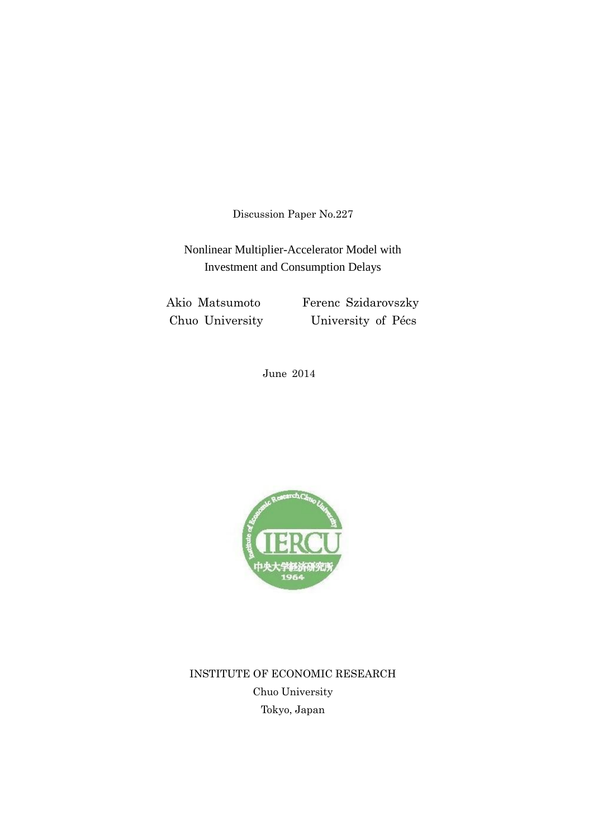Discussion Paper No.227

Nonlinear Multiplier-Accelerator Model with Investment and Consumption Delays

Akio Matsumoto Ferenc Szidarovszky Chuo University University of Pécs

June 2014



INSTITUTE OF ECONOMIC RESEARCH Chuo University Tokyo, Japan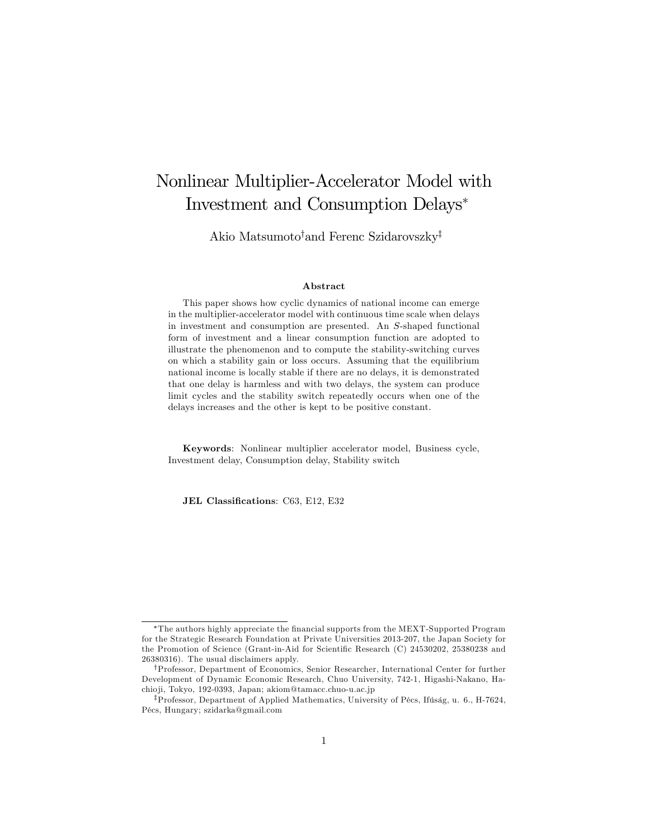# Nonlinear Multiplier-Accelerator Model with Investment and Consumption Delays

Akio Matsumoto<sup>†</sup>and Ferenc Szidarovszky<sup>‡</sup>

#### Abstract

This paper shows how cyclic dynamics of national income can emerge in the multiplier-accelerator model with continuous time scale when delays in investment and consumption are presented. An S-shaped functional form of investment and a linear consumption function are adopted to illustrate the phenomenon and to compute the stability-switching curves on which a stability gain or loss occurs. Assuming that the equilibrium national income is locally stable if there are no delays, it is demonstrated that one delay is harmless and with two delays, the system can produce limit cycles and the stability switch repeatedly occurs when one of the delays increases and the other is kept to be positive constant.

Keywords: Nonlinear multiplier accelerator model, Business cycle, Investment delay, Consumption delay, Stability switch

JEL Classifications: C63, E12, E32

The authors highly appreciate the Önancial supports from the MEXT-Supported Program for the Strategic Research Foundation at Private Universities 2013-207, the Japan Society for the Promotion of Science (Grant-in-Aid for Scientific Research (C) 24530202, 25380238 and 26380316). The usual disclaimers apply.

yProfessor, Department of Economics, Senior Researcher, International Center for further Development of Dynamic Economic Research, Chuo University, 742-1, Higashi-Nakano, Hachio ji, Tokyo, 192-0393, Japan; akiom@tamacc.chuo-u.ac.jp

<sup>&</sup>lt;sup>‡</sup>Professor, Department of Applied Mathematics, University of Pécs, Ifúság, u. 6., H-7624, PÈcs, Hungary; szidarka@gmail.com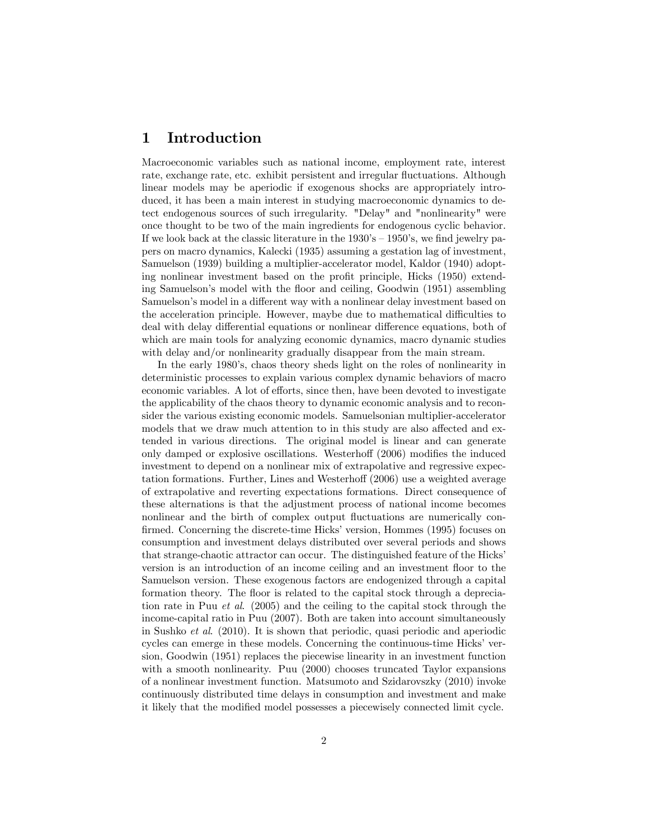## 1 Introduction

Macroeconomic variables such as national income, employment rate, interest rate, exchange rate, etc. exhibit persistent and irregular fluctuations. Although linear models may be aperiodic if exogenous shocks are appropriately introduced, it has been a main interest in studying macroeconomic dynamics to detect endogenous sources of such irregularity. "Delay" and "nonlinearity" were once thought to be two of the main ingredients for endogenous cyclic behavior. If we look back at the classic literature in the  $1930$ 's  $-1950$ 's, we find jewelry papers on macro dynamics, Kalecki (1935) assuming a gestation lag of investment, Samuelson (1939) building a multiplier-accelerator model, Kaldor (1940) adopting nonlinear investment based on the profit principle, Hicks (1950) extending Samuelson's model with the floor and ceiling, Goodwin (1951) assembling Samuelson's model in a different way with a nonlinear delay investment based on the acceleration principle. However, maybe due to mathematical difficulties to deal with delay differential equations or nonlinear difference equations, both of which are main tools for analyzing economic dynamics, macro dynamic studies with delay and/or nonlinearity gradually disappear from the main stream.

In the early 1980's, chaos theory sheds light on the roles of nonlinearity in deterministic processes to explain various complex dynamic behaviors of macro economic variables. A lot of efforts, since then, have been devoted to investigate the applicability of the chaos theory to dynamic economic analysis and to reconsider the various existing economic models. Samuelsonian multiplier-accelerator models that we draw much attention to in this study are also affected and extended in various directions. The original model is linear and can generate only damped or explosive oscillations. Westerhoff  $(2006)$  modifies the induced investment to depend on a nonlinear mix of extrapolative and regressive expectation formations. Further, Lines and Westerhoff (2006) use a weighted average of extrapolative and reverting expectations formations. Direct consequence of these alternations is that the adjustment process of national income becomes nonlinear and the birth of complex output fluctuations are numerically confirmed. Concerning the discrete-time Hicks' version, Hommes (1995) focuses on consumption and investment delays distributed over several periods and shows that strange-chaotic attractor can occur. The distinguished feature of the Hicks' version is an introduction of an income ceiling and an investment floor to the Samuelson version. These exogenous factors are endogenized through a capital formation theory. The floor is related to the capital stock through a depreciation rate in Puu et al. (2005) and the ceiling to the capital stock through the income-capital ratio in Puu (2007). Both are taken into account simultaneously in Sushko et al. (2010). It is shown that periodic, quasi periodic and aperiodic cycles can emerge in these models. Concerning the continuous-time Hicks' version, Goodwin (1951) replaces the piecewise linearity in an investment function with a smooth nonlinearity. Puu (2000) chooses truncated Taylor expansions of a nonlinear investment function. Matsumoto and Szidarovszky (2010) invoke continuously distributed time delays in consumption and investment and make it likely that the modified model possesses a piecewisely connected limit cycle.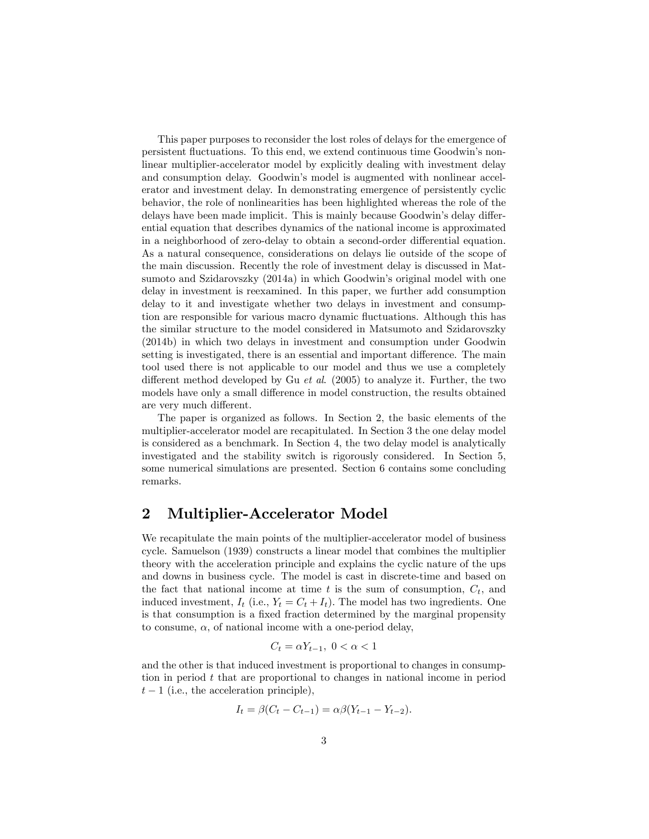This paper purposes to reconsider the lost roles of delays for the emergence of persistent fluctuations. To this end, we extend continuous time Goodwin's nonlinear multiplier-accelerator model by explicitly dealing with investment delay and consumption delay. Goodwin's model is augmented with nonlinear accelerator and investment delay. In demonstrating emergence of persistently cyclic behavior, the role of nonlinearities has been highlighted whereas the role of the delays have been made implicit. This is mainly because Goodwin's delay differential equation that describes dynamics of the national income is approximated in a neighborhood of zero-delay to obtain a second-order differential equation. As a natural consequence, considerations on delays lie outside of the scope of the main discussion. Recently the role of investment delay is discussed in Matsumoto and Szidarovszky (2014a) in which Goodwin's original model with one delay in investment is reexamined. In this paper, we further add consumption delay to it and investigate whether two delays in investment and consumption are responsible for various macro dynamic fluctuations. Although this has the similar structure to the model considered in Matsumoto and Szidarovszky (2014b) in which two delays in investment and consumption under Goodwin setting is investigated, there is an essential and important difference. The main tool used there is not applicable to our model and thus we use a completely different method developed by Gu et al. (2005) to analyze it. Further, the two models have only a small difference in model construction, the results obtained are very much different.

The paper is organized as follows. In Section 2, the basic elements of the multiplier-accelerator model are recapitulated. In Section 3 the one delay model is considered as a benchmark. In Section 4, the two delay model is analytically investigated and the stability switch is rigorously considered. In Section 5, some numerical simulations are presented. Section 6 contains some concluding remarks.

## 2 Multiplier-Accelerator Model

We recapitulate the main points of the multiplier-accelerator model of business cycle. Samuelson (1939) constructs a linear model that combines the multiplier theory with the acceleration principle and explains the cyclic nature of the ups and downs in business cycle. The model is cast in discrete-time and based on the fact that national income at time t is the sum of consumption,  $C_t$ , and induced investment,  $I_t$  (i.e.,  $Y_t = C_t + I_t$ ). The model has two ingredients. One is that consumption is a fixed fraction determined by the marginal propensity to consume,  $\alpha$ , of national income with a one-period delay,

$$
C_t = \alpha Y_{t-1}, \ 0 < \alpha < 1
$$

and the other is that induced investment is proportional to changes in consumption in period t that are proportional to changes in national income in period  $t-1$  (i.e., the acceleration principle),

$$
I_t = \beta(C_t - C_{t-1}) = \alpha \beta (Y_{t-1} - Y_{t-2}).
$$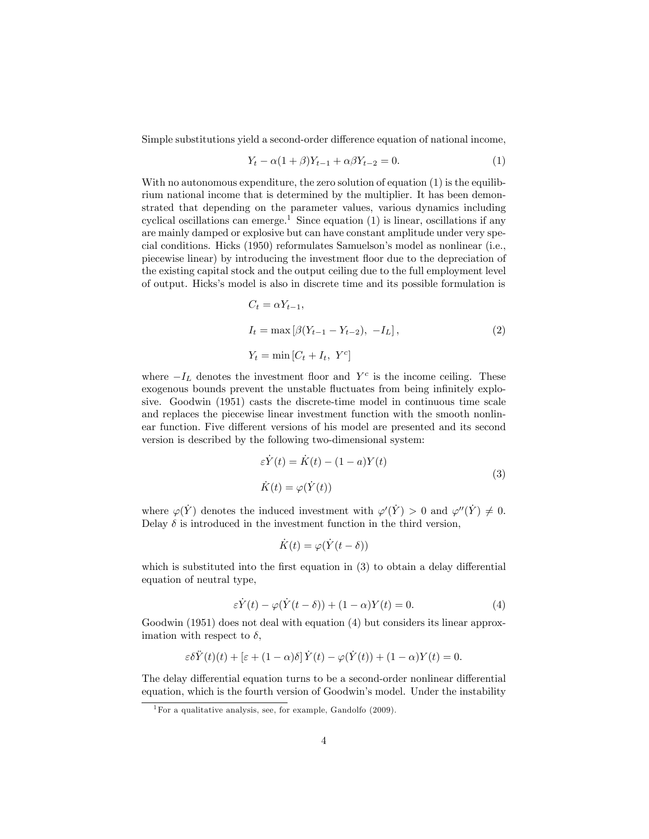Simple substitutions yield a second-order difference equation of national income,

$$
Y_t - \alpha (1 + \beta) Y_{t-1} + \alpha \beta Y_{t-2} = 0.
$$
 (1)

With no autonomous expenditure, the zero solution of equation (1) is the equilibrium national income that is determined by the multiplier. It has been demonstrated that depending on the parameter values, various dynamics including cyclical oscillations can emerge.<sup>1</sup> Since equation  $(1)$  is linear, oscillations if any are mainly damped or explosive but can have constant amplitude under very special conditions. Hicks (1950) reformulates Samuelsonís model as nonlinear (i.e., piecewise linear) by introducing the investment áoor due to the depreciation of the existing capital stock and the output ceiling due to the full employment level of output. Hicks's model is also in discrete time and its possible formulation is

$$
C_t = \alpha Y_{t-1},
$$
  
\n
$$
I_t = \max [\beta(Y_{t-1} - Y_{t-2}), -I_L],
$$
  
\n
$$
Y_t = \min [C_t + I_t, Y^c]
$$
\n(2)

where  $-I_L$  denotes the investment floor and  $Y<sup>c</sup>$  is the income ceiling. These exogenous bounds prevent the unstable fluctuates from being infinitely explosive. Goodwin (1951) casts the discrete-time model in continuous time scale and replaces the piecewise linear investment function with the smooth nonlinear function. Five different versions of his model are presented and its second version is described by the following two-dimensional system:

$$
\varepsilon \dot{Y}(t) = \dot{K}(t) - (1 - a)Y(t)
$$
  
\n
$$
\dot{K}(t) = \varphi(\dot{Y}(t))
$$
\n(3)

where  $\varphi(Y)$  denotes the induced investment with  $\varphi'(Y) > 0$  and  $\varphi''(Y) \neq 0$ . Delay  $\delta$  is introduced in the investment function in the third version,

$$
\dot{K}(t) = \varphi(\dot{Y}(t-\delta))
$$

which is substituted into the first equation in  $(3)$  to obtain a delay differential equation of neutral type,

$$
\varepsilon \dot{Y}(t) - \varphi(\dot{Y}(t-\delta)) + (1-\alpha)Y(t) = 0.
$$
\n(4)

Goodwin (1951) does not deal with equation (4) but considers its linear approximation with respect to  $\delta$ ,

$$
\varepsilon \delta \ddot{Y}(t)(t) + \left[\varepsilon + (1 - \alpha)\delta\right] \dot{Y}(t) - \varphi(\dot{Y}(t)) + (1 - \alpha)Y(t) = 0.
$$

The delay differential equation turns to be a second-order nonlinear differential equation, which is the fourth version of Goodwin's model. Under the instability

<sup>&</sup>lt;sup>1</sup>For a qualitative analysis, see, for example, Gandolfo  $(2009)$ .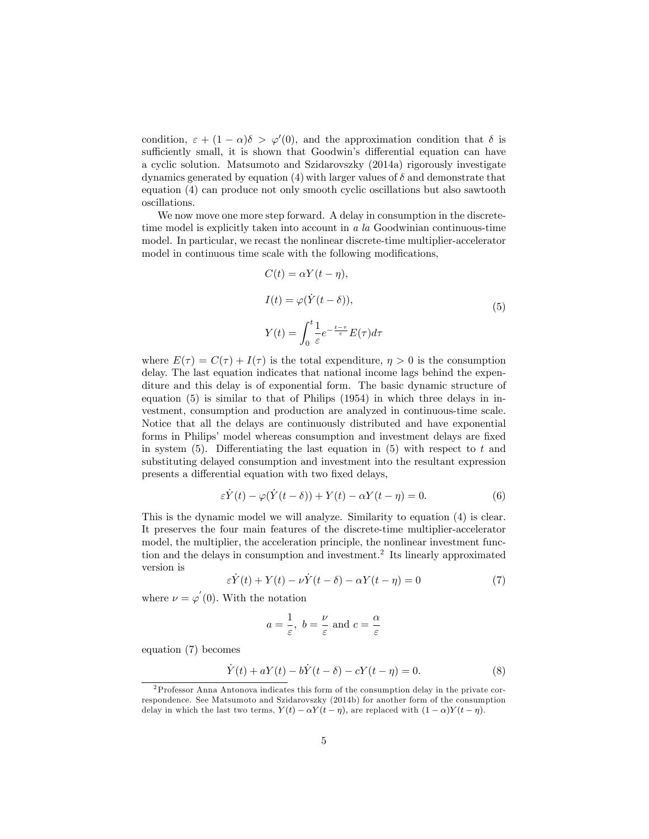condition,  $\varepsilon + (1 - \alpha)\delta > \varphi'(0)$ , and the approximation condition that  $\delta$  is sufficiently small, it is shown that Goodwin's differential equation can have a cyclic solution. Matsumoto and Szidarovszky (2014a) rigorously investigate dynamics generated by equation (4) with larger values of  $\delta$  and demonstrate that equation (4) can produce not only smooth cyclic oscillations but also sawtooth oscillations.

We now move one more step forward. A delay in consumption in the discretetime model is explicitly taken into account in a la Goodwinian continuous-time model. In particular, we recast the nonlinear discrete-time multiplier-accelerator model in continuous time scale with the following modifications,

$$
C(t) = \alpha Y(t - \eta),
$$
  
\n
$$
I(t) = \varphi(\dot{Y}(t - \delta)),
$$
  
\n
$$
Y(t) = \int_0^t \frac{1}{\varepsilon} e^{-\frac{t - \tau}{\varepsilon}} E(\tau) d\tau
$$
\n(5)

where  $E(\tau) = C(\tau) + I(\tau)$  is the total expenditure,  $\eta > 0$  is the consumption delay. The last equation indicates that national income lags behind the expenditure and this delay is of exponential form. The basic dynamic structure of equation (5) is similar to that of Philips (1954) in which three delays in investment, consumption and production are analyzed in continuous-time scale. Notice that all the delays are continuously distributed and have exponential forms in Philips' model whereas consumption and investment delays are fixed in system  $(5)$ . Differentiating the last equation in  $(5)$  with respect to t and substituting delayed consumption and investment into the resultant expression presents a differential equation with two fixed delays,

$$
\varepsilon \dot{Y}(t) - \varphi(\dot{Y}(t-\delta)) + Y(t) - \alpha Y(t-\eta) = 0.
$$
\n(6)

This is the dynamic model we will analyze. Similarity to equation (4) is clear. It preserves the four main features of the discrete-time multiplier-accelerator model, the multiplier, the acceleration principle, the nonlinear investment function and the delays in consumption and investment.<sup>2</sup> Its linearly approximated version is

$$
\varepsilon \dot{Y}(t) + Y(t) - \nu \dot{Y}(t - \delta) - \alpha Y(t - \eta) = 0 \tag{7}
$$

where  $\nu = \varphi'(0)$ . With the notation

$$
a = \frac{1}{\varepsilon}, b = \frac{\nu}{\varepsilon}
$$
 and  $c = \frac{\alpha}{\varepsilon}$ 

equation (7) becomes

$$
\dot{Y}(t) + aY(t) - b\dot{Y}(t - \delta) - cY(t - \eta) = 0.
$$
 (8)

<sup>2</sup>Professor Anna Antonova indicates this form of the consumption delay in the private correspondence. See Matsumoto and Szidarovszky (2014b) for another form of the consumption delay in which the last two terms,  $Y(t) - \alpha Y(t - \eta)$ , are replaced with  $(1 - \alpha)Y(t - \eta)$ .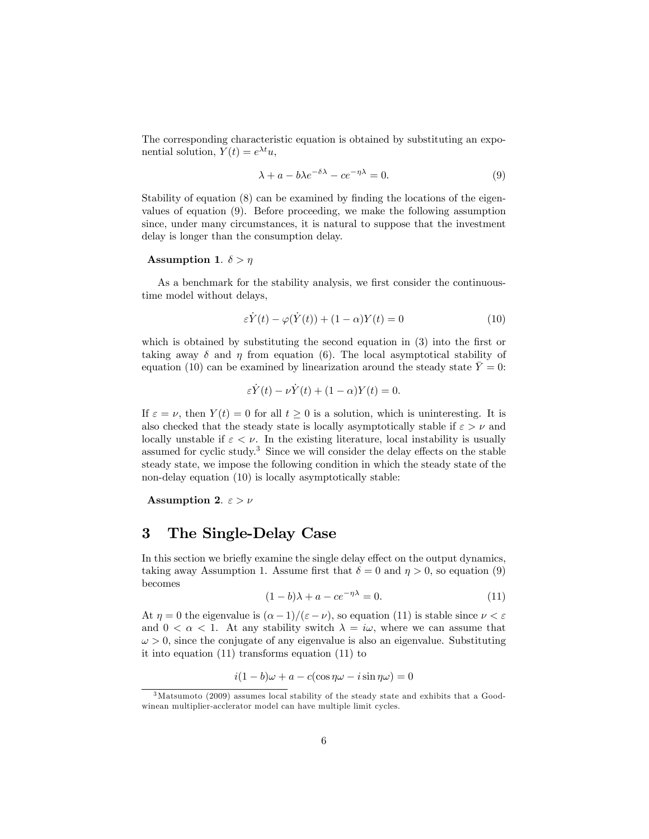The corresponding characteristic equation is obtained by substituting an exponential solution,  $Y(t) = e^{\lambda t}u$ ,

$$
\lambda + a - b\lambda e^{-\delta\lambda} - ce^{-\eta\lambda} = 0.
$$
 (9)

Stability of equation  $(8)$  can be examined by finding the locations of the eigenvalues of equation (9). Before proceeding, we make the following assumption since, under many circumstances, it is natural to suppose that the investment delay is longer than the consumption delay.

#### Assumption 1.  $\delta > \eta$

As a benchmark for the stability analysis, we first consider the continuoustime model without delays,

$$
\varepsilon \dot{Y}(t) - \varphi(\dot{Y}(t)) + (1 - \alpha)Y(t) = 0 \tag{10}
$$

which is obtained by substituting the second equation in  $(3)$  into the first or taking away  $\delta$  and  $\eta$  from equation (6). The local asymptotical stability of equation (10) can be examined by linearization around the steady state  $\bar{Y} = 0$ :

$$
\varepsilon \dot{Y}(t) - \nu \dot{Y}(t) + (1 - \alpha)Y(t) = 0.
$$

If  $\varepsilon = \nu$ , then  $Y(t) = 0$  for all  $t \geq 0$  is a solution, which is uninteresting. It is also checked that the steady state is locally asymptotically stable if  $\varepsilon > \nu$  and locally unstable if  $\varepsilon < \nu$ . In the existing literature, local instability is usually assumed for cyclic study.<sup>3</sup> Since we will consider the delay effects on the stable steady state, we impose the following condition in which the steady state of the non-delay equation (10) is locally asymptotically stable:

Assumption 2.  $\varepsilon > \nu$ 

#### 3 The Single-Delay Case

In this section we briefly examine the single delay effect on the output dynamics, taking away Assumption 1. Assume first that  $\delta = 0$  and  $\eta > 0$ , so equation (9) becomes

$$
(1-b)\lambda + a - ce^{-\eta\lambda} = 0.
$$
 (11)

At  $\eta = 0$  the eigenvalue is  $(\alpha - 1)/(\varepsilon - \nu)$ , so equation (11) is stable since  $\nu < \varepsilon$ and  $0 < \alpha < 1$ . At any stability switch  $\lambda = i\omega$ , where we can assume that  $\omega > 0$ , since the conjugate of any eigenvalue is also an eigenvalue. Substituting it into equation (11) transforms equation (11) to

$$
i(1-b)\omega + a - c(\cos \eta \omega - i \sin \eta \omega) = 0
$$

<sup>3</sup>Matsumoto (2009) assumes local stability of the steady state and exhibits that a Goodwinean multiplier-acclerator model can have multiple limit cycles.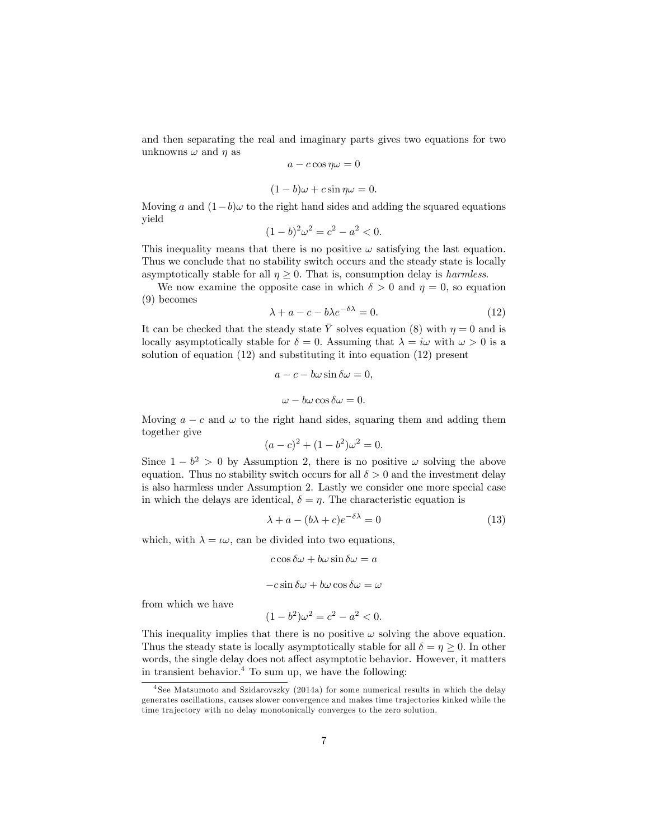and then separating the real and imaginary parts gives two equations for two unknowns  $\omega$  and  $\eta$  as

$$
a - c \cos \eta \omega = 0
$$

$$
(1 - b)\omega + c\sin\eta\omega = 0.
$$

Moving a and  $(1-b)\omega$  to the right hand sides and adding the squared equations yield

$$
(1-b)^2 \omega^2 = c^2 - a^2 < 0.
$$

This inequality means that there is no positive  $\omega$  satisfying the last equation. Thus we conclude that no stability switch occurs and the steady state is locally asymptotically stable for all  $\eta \geq 0$ . That is, consumption delay is *harmless*.

We now examine the opposite case in which  $\delta > 0$  and  $\eta = 0$ , so equation (9) becomes

$$
\lambda + a - c - b\lambda e^{-\delta\lambda} = 0. \tag{12}
$$

It can be checked that the steady state  $\overline{Y}$  solves equation (8) with  $\eta = 0$  and is locally asymptotically stable for  $\delta = 0$ . Assuming that  $\lambda = i\omega$  with  $\omega > 0$  is a solution of equation (12) and substituting it into equation (12) present

$$
a - c - b\omega \sin \delta \omega = 0,
$$
  

$$
\omega - b\omega \cos \delta \omega = 0.
$$

Moving  $a - c$  and  $\omega$  to the right hand sides, squaring them and adding them together give

$$
(a-c)^2 + (1-b^2)\omega^2 = 0.
$$

Since  $1 - b^2 > 0$  by Assumption 2, there is no positive  $\omega$  solving the above equation. Thus no stability switch occurs for all  $\delta > 0$  and the investment delay is also harmless under Assumption 2. Lastly we consider one more special case in which the delays are identical,  $\delta = \eta$ . The characteristic equation is

$$
\lambda + a - (b\lambda + c)e^{-\delta\lambda} = 0 \tag{13}
$$

which, with  $\lambda = \iota \omega$ , can be divided into two equations,

$$
c \cos \delta \omega + b \omega \sin \delta \omega = a
$$

$$
-c \sin \delta \omega + b \omega \cos \delta \omega = \omega
$$

from which we have

$$
(1 - b^2)\omega^2 = c^2 - a^2 < 0.
$$

This inequality implies that there is no positive  $\omega$  solving the above equation. Thus the steady state is locally asymptotically stable for all  $\delta = \eta \geq 0$ . In other words, the single delay does not affect asymptotic behavior. However, it matters in transient behavior.<sup>4</sup> To sum up, we have the following:

<sup>&</sup>lt;sup>4</sup> See Matsumoto and Szidarovszky (2014a) for some numerical results in which the delay generates oscillations, causes slower convergence and makes time tra jectories kinked while the time trajectory with no delay monotonically converges to the zero solution.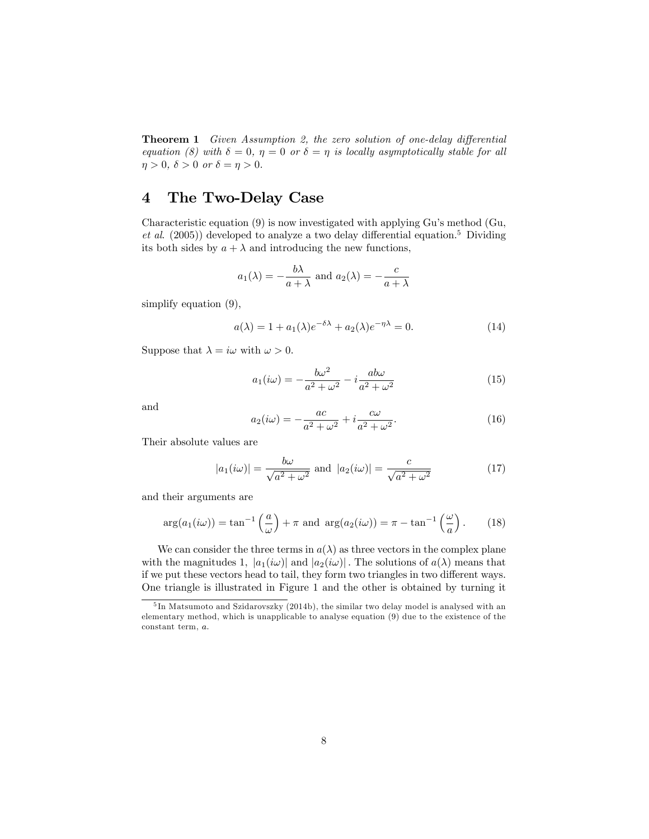Theorem 1 Given Assumption 2, the zero solution of one-delay differential equation (8) with  $\delta = 0$ ,  $\eta = 0$  or  $\delta = \eta$  is locally asymptotically stable for all  $\eta > 0$ ,  $\delta > 0$  or  $\delta = \eta > 0$ .

# 4 The Two-Delay Case

Characteristic equation (9) is now investigated with applying Guís method (Gu, et al. (2005)) developed to analyze a two delay differential equation.<sup>5</sup> Dividing its both sides by  $a + \lambda$  and introducing the new functions,

$$
a_1(\lambda) = -\frac{b\lambda}{a+\lambda}
$$
 and  $a_2(\lambda) = -\frac{c}{a+\lambda}$ 

simplify equation (9),

$$
a(\lambda) = 1 + a_1(\lambda)e^{-\delta\lambda} + a_2(\lambda)e^{-\eta\lambda} = 0.
$$
 (14)

Suppose that  $\lambda = i\omega$  with  $\omega > 0$ .

$$
a_1(i\omega) = -\frac{b\omega^2}{a^2 + \omega^2} - i\frac{ab\omega}{a^2 + \omega^2}
$$
\n(15)

and

$$
a_2(i\omega) = -\frac{ac}{a^2 + \omega^2} + i\frac{c\omega}{a^2 + \omega^2}.
$$
\n(16)

Their absolute values are

$$
|a_1(i\omega)| = \frac{b\omega}{\sqrt{a^2 + \omega^2}} \text{ and } |a_2(i\omega)| = \frac{c}{\sqrt{a^2 + \omega^2}}
$$
(17)

and their arguments are

$$
\arg(a_1(i\omega)) = \tan^{-1}\left(\frac{a}{\omega}\right) + \pi \text{ and } \arg(a_2(i\omega)) = \pi - \tan^{-1}\left(\frac{\omega}{a}\right). \tag{18}
$$

We can consider the three terms in  $a(\lambda)$  as three vectors in the complex plane with the magnitudes 1,  $|a_1(i\omega)|$  and  $|a_2(i\omega)|$ . The solutions of  $a(\lambda)$  means that if we put these vectors head to tail, they form two triangles in two different ways. One triangle is illustrated in Figure 1 and the other is obtained by turning it

<sup>5</sup> In Matsumoto and Szidarovszky (2014b), the similar two delay model is analysed with an elementary method, which is unapplicable to analyse equation (9) due to the existence of the constant term, a: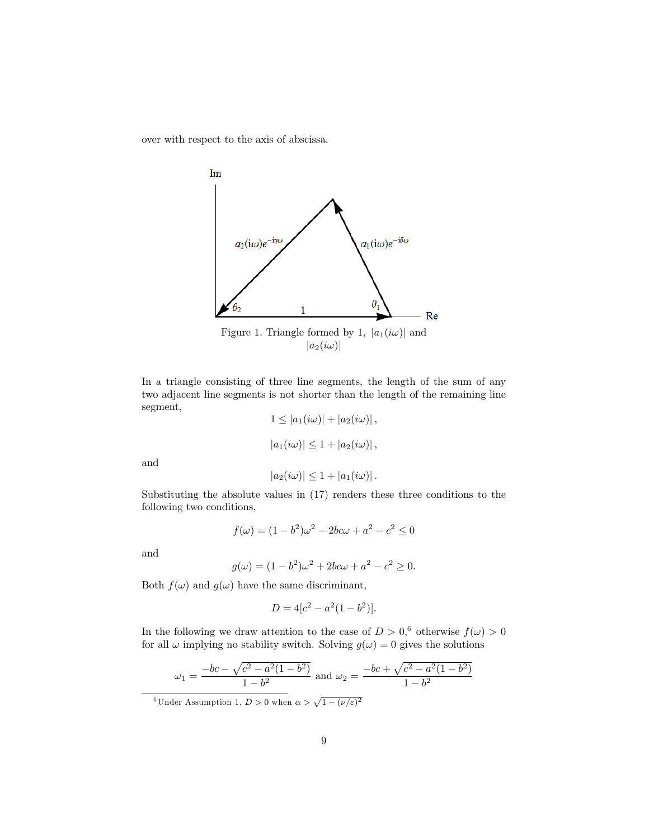over with respect to the axis of abscissa.



In a triangle consisting of three line segments, the length of the sum of any two adjacent line segments is not shorter than the length of the remaining line segment,

$$
1 \le |a_1(i\omega)| + |a_2(i\omega)|,
$$
  

$$
|a_1(i\omega)| \le 1 + |a_2(i\omega)|,
$$

and

$$
|a_2(i\omega)| \leq 1 + |a_1(i\omega)|.
$$

Substituting the absolute values in (17) renders these three conditions to the following two conditions,

$$
f(\omega) = (1 - b^2)\omega^2 - 2bc\omega + a^2 - c^2 \le 0
$$

and

$$
g(\omega) = (1 - b^2)\omega^2 + 2bc\omega + a^2 - c^2 \ge 0.
$$

Both  $f(\omega)$  and  $g(\omega)$  have the same discriminant,

$$
D = 4[c^2 - a^2(1 - b^2)].
$$

In the following we draw attention to the case of  $D > 0$ ,  $\phi$  otherwise  $f(\omega) > 0$ for all  $\omega$  implying no stability switch. Solving  $g(\omega) = 0$  gives the solutions

$$
\omega_1 = \frac{-bc - \sqrt{c^2 - a^2(1 - b^2)}}{1 - b^2}
$$
 and  $\omega_2 = \frac{-bc + \sqrt{c^2 - a^2(1 - b^2)}}{1 - b^2}$ 

<sup>6</sup>Under Assumption 1,  $D > 0$  when  $\alpha > \sqrt{1 - (\nu/\varepsilon)^2}$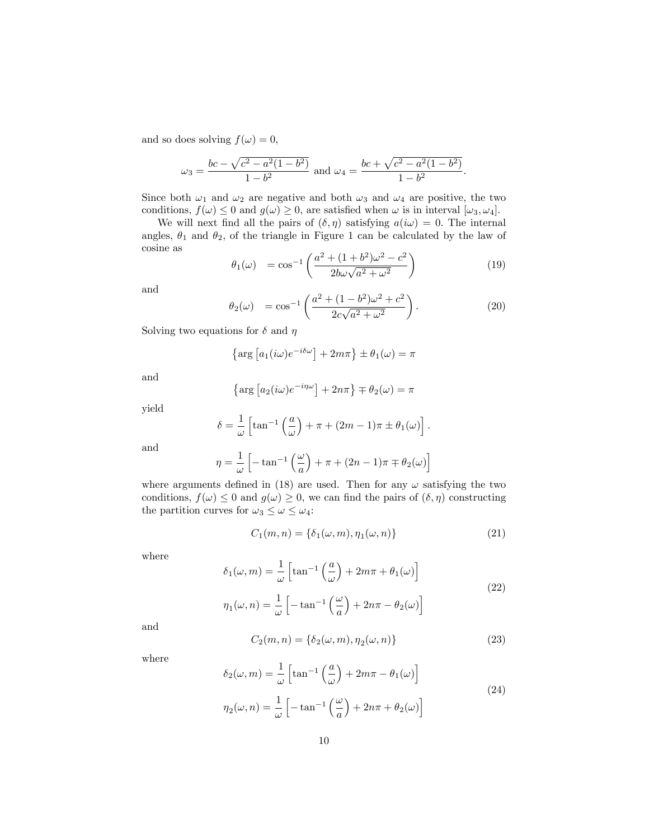and so does solving  $f(\omega) = 0$ ,

$$
\omega_3 = \frac{bc - \sqrt{c^2 - a^2(1 - b^2)}}{1 - b^2}
$$
 and  $\omega_4 = \frac{bc + \sqrt{c^2 - a^2(1 - b^2)}}{1 - b^2}$ .

Since both  $\omega_1$  and  $\omega_2$  are negative and both  $\omega_3$  and  $\omega_4$  are positive, the two conditions,  $f(\omega) \leq 0$  and  $g(\omega) \geq 0$ , are satisfied when  $\omega$  is in interval  $[\omega_3, \omega_4]$ .

We will next find all the pairs of  $(\delta, \eta)$  satisfying  $a(i\omega) = 0$ . The internal angles,  $\theta_1$  and  $\theta_2$ , of the triangle in Figure 1 can be calculated by the law of cosine as

$$
\theta_1(\omega) = \cos^{-1}\left(\frac{a^2 + (1+b^2)\omega^2 - c^2}{2b\omega\sqrt{a^2 + \omega^2}}\right)
$$
\n(19)

and

$$
\theta_2(\omega) = \cos^{-1}\left(\frac{a^2 + (1 - b^2)\omega^2 + c^2}{2c\sqrt{a^2 + \omega^2}}\right).
$$
\n(20)

Solving two equations for  $\delta$  and  $\eta$ 

$$
\left\{\arg\left[a_1(i\omega)e^{-i\delta\omega}\right] + 2m\pi\right\} \pm \theta_1(\omega) = \pi
$$

and

$$
\left\{\arg \left[a_2(i\omega)e^{-i\eta\omega}\right] + 2n\pi\right\} \mp \theta_2(\omega) = \pi
$$

yield

$$
\delta = \frac{1}{\omega} \left[ \tan^{-1} \left( \frac{a}{\omega} \right) + \pi + (2m - 1)\pi \pm \theta_1(\omega) \right].
$$

and

$$
\eta = \frac{1}{\omega} \left[ -\tan^{-1} \left( \frac{\omega}{a} \right) + \pi + (2n - 1)\pi \mp \theta_2(\omega) \right]
$$

where arguments defined in (18) are used. Then for any  $\omega$  satisfying the two conditions,  $f(\omega) \leq 0$  and  $g(\omega) \geq 0$ , we can find the pairs of  $(\delta, \eta)$  constructing the partition curves for  $\omega_3 \leq \omega \leq \omega_4$ :

$$
C_1(m,n) = \{\delta_1(\omega,m), \eta_1(\omega,n)\}\tag{21}
$$

where

$$
\delta_1(\omega, m) = \frac{1}{\omega} \left[ \tan^{-1} \left( \frac{a}{\omega} \right) + 2m\pi + \theta_1(\omega) \right]
$$
  

$$
\eta_1(\omega, n) = \frac{1}{\omega} \left[ -\tan^{-1} \left( \frac{\omega}{a} \right) + 2n\pi - \theta_2(\omega) \right]
$$
 (22)

and

$$
C_2(m,n) = \{\delta_2(\omega,m), \eta_2(\omega,n)\}\tag{23}
$$

where

$$
\delta_2(\omega, m) = \frac{1}{\omega} \left[ \tan^{-1} \left( \frac{a}{\omega} \right) + 2m\pi - \theta_1(\omega) \right]
$$
  

$$
\eta_2(\omega, n) = \frac{1}{\omega} \left[ -\tan^{-1} \left( \frac{\omega}{a} \right) + 2n\pi + \theta_2(\omega) \right]
$$
 (24)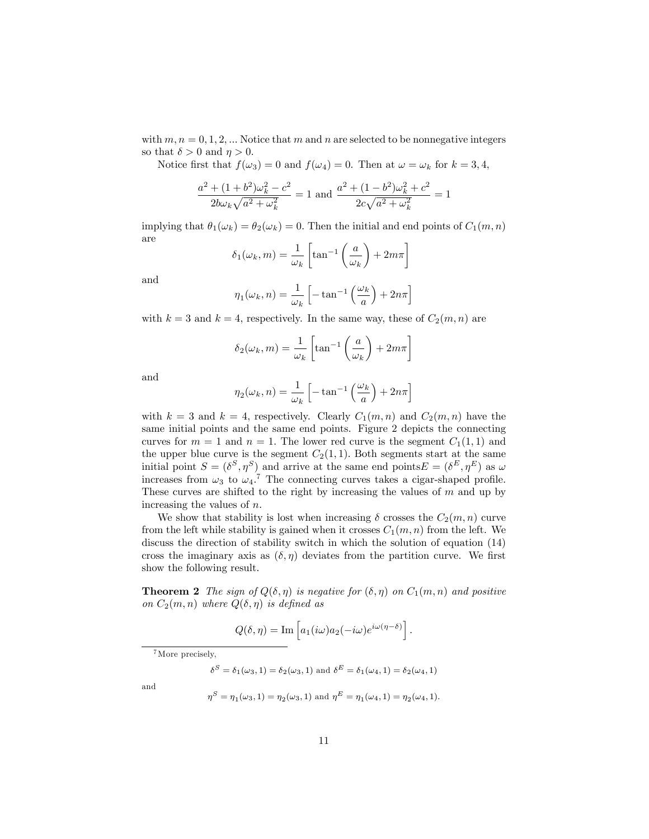with  $m, n = 0, 1, 2, ...$  Notice that m and n are selected to be nonnegative integers so that  $\delta > 0$  and  $\eta > 0$ .

Notice first that  $f(\omega_3) = 0$  and  $f(\omega_4) = 0$ . Then at  $\omega = \omega_k$  for  $k = 3, 4$ ,

$$
\frac{a^2 + (1 + b^2)\omega_k^2 - c^2}{2b\omega_k\sqrt{a^2 + \omega_k^2}} = 1
$$
 and 
$$
\frac{a^2 + (1 - b^2)\omega_k^2 + c^2}{2c\sqrt{a^2 + \omega_k^2}} = 1
$$

implying that  $\theta_1(\omega_k) = \theta_2(\omega_k) = 0$ . Then the initial and end points of  $C_1(m, n)$ are

$$
\delta_1(\omega_k, m) = \frac{1}{\omega_k} \left[ \tan^{-1} \left( \frac{a}{\omega_k} \right) + 2m\pi \right]
$$

and

$$
\eta_1(\omega_k, n) = \frac{1}{\omega_k} \left[ -\tan^{-1} \left( \frac{\omega_k}{a} \right) + 2n\pi \right]
$$

with  $k = 3$  and  $k = 4$ , respectively. In the same way, these of  $C_2(m, n)$  are

$$
\delta_2(\omega_k, m) = \frac{1}{\omega_k} \left[ \tan^{-1} \left( \frac{a}{\omega_k} \right) + 2m\pi \right]
$$

and

$$
\eta_2(\omega_k, n) = \frac{1}{\omega_k} \left[ -\tan^{-1} \left( \frac{\omega_k}{a} \right) + 2n\pi \right]
$$

with  $k = 3$  and  $k = 4$ , respectively. Clearly  $C_1(m, n)$  and  $C_2(m, n)$  have the same initial points and the same end points. Figure 2 depicts the connecting curves for  $m = 1$  and  $n = 1$ . The lower red curve is the segment  $C_1(1,1)$  and the upper blue curve is the segment  $C_2(1,1)$ . Both segments start at the same initial point  $S = (\delta^S, \eta^S)$  and arrive at the same end points  $E = (\delta^E, \eta^E)$  as  $\omega$ increases from  $\omega_3$  to  $\omega_4$ .<sup>7</sup> The connecting curves takes a cigar-shaped profile. These curves are shifted to the right by increasing the values of  $m$  and up by increasing the values of  $n$ .

We show that stability is lost when increasing  $\delta$  crosses the  $C_2(m, n)$  curve from the left while stability is gained when it crosses  $C_1(m, n)$  from the left. We discuss the direction of stability switch in which the solution of equation (14) cross the imaginary axis as  $(\delta, \eta)$  deviates from the partition curve. We first show the following result.

**Theorem 2** The sign of  $Q(\delta, \eta)$  is negative for  $(\delta, \eta)$  on  $C_1(m, n)$  and positive on  $C_2(m, n)$  where  $Q(\delta, \eta)$  is defined as

$$
Q(\delta, \eta) = \text{Im}\left[a_1(i\omega)a_2(-i\omega)e^{i\omega(\eta-\delta)}\right].
$$

<sup>7</sup>More precisely,

$$
\delta^S = \delta_1(\omega_3, 1) = \delta_2(\omega_3, 1)
$$
 and  $\delta^E = \delta_1(\omega_4, 1) = \delta_2(\omega_4, 1)$ 

 $\eta^S = \eta_1(\omega_3, 1) = \eta_2(\omega_3, 1)$  and  $\eta^E = \eta_1(\omega_4, 1) = \eta_2(\omega_4, 1)$ .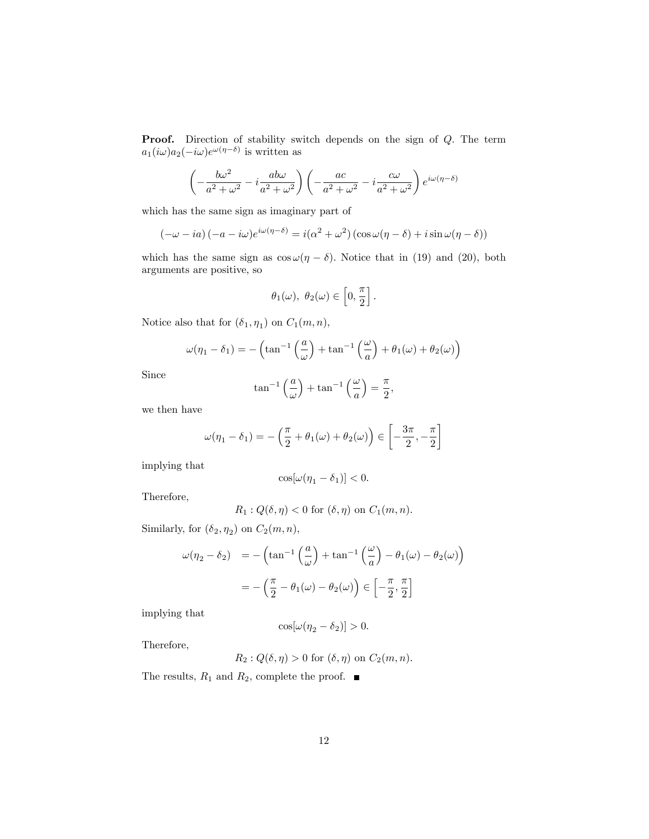**Proof.** Direction of stability switch depends on the sign of Q. The term  $a_1(i\omega)a_2(-i\omega)e^{\omega(\eta-\delta)}$  is written as

$$
\left(-\frac{b\omega^2}{a^2+\omega^2} - i\frac{ab\omega}{a^2+\omega^2}\right)\left(-\frac{ac}{a^2+\omega^2} - i\frac{c\omega}{a^2+\omega^2}\right)e^{i\omega(\eta-\delta)}
$$

which has the same sign as imaginary part of

$$
(-\omega - ia) (-a - i\omega)e^{i\omega(\eta - \delta)} = i(\alpha^2 + \omega^2) (\cos \omega(\eta - \delta) + i \sin \omega(\eta - \delta))
$$

which has the same sign as  $\cos \omega(\eta - \delta)$ . Notice that in (19) and (20), both arguments are positive, so

$$
\theta_1(\omega), \ \theta_2(\omega) \in \left[0, \frac{\pi}{2}\right].
$$

Notice also that for  $(\delta_1, \eta_1)$  on  $C_1(m, n)$ ,

$$
\omega(\eta_1 - \delta_1) = -\left(\tan^{-1}\left(\frac{a}{\omega}\right) + \tan^{-1}\left(\frac{\omega}{a}\right) + \theta_1(\omega) + \theta_2(\omega)\right)
$$

Since

$$
\tan^{-1}\left(\frac{a}{\omega}\right) + \tan^{-1}\left(\frac{\omega}{a}\right) = \frac{\pi}{2},
$$

we then have

$$
\omega(\eta_1 - \delta_1) = -\left(\frac{\pi}{2} + \theta_1(\omega) + \theta_2(\omega)\right) \in \left[-\frac{3\pi}{2}, -\frac{\pi}{2}\right]
$$

implying that

$$
\cos[\omega(\eta_1-\delta_1)]<0.
$$

Therefore,

$$
R_1: Q(\delta, \eta) < 0 \text{ for } (\delta, \eta) \text{ on } C_1(m, n).
$$

Similarly, for  $(\delta_2, \eta_2)$  on  $C_2(m, n)$ ,

$$
\omega(\eta_2 - \delta_2) = -\left(\tan^{-1}\left(\frac{a}{\omega}\right) + \tan^{-1}\left(\frac{\omega}{a}\right) - \theta_1(\omega) - \theta_2(\omega)\right)
$$

$$
= -\left(\frac{\pi}{2} - \theta_1(\omega) - \theta_2(\omega)\right) \in \left[-\frac{\pi}{2}, \frac{\pi}{2}\right]
$$

implying that

$$
\cos[\omega(\eta_2 - \delta_2)] > 0.
$$

Therefore,

$$
R_2: Q(\delta, \eta) > 0 \text{ for } (\delta, \eta) \text{ on } C_2(m, n).
$$

The results,  $R_1$  and  $R_2$ , complete the proof.  $\blacksquare$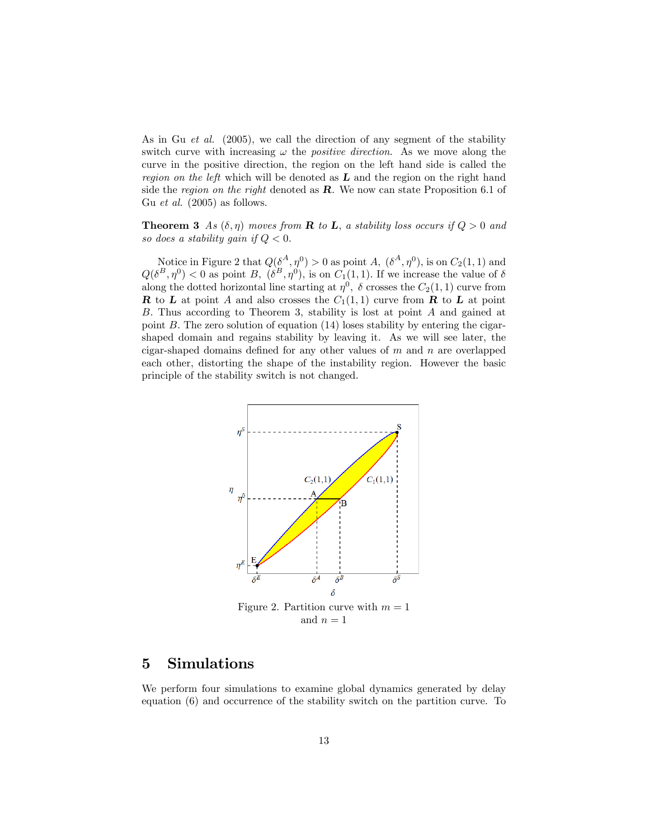As in Gu *et al.* (2005), we call the direction of any segment of the stability switch curve with increasing  $\omega$  the *positive direction*. As we move along the curve in the positive direction, the region on the left hand side is called the region on the left which will be denoted as  $\bf{L}$  and the region on the right hand side the region on the right denoted as  $\bf{R}$ . We now can state Proposition 6.1 of Gu et al. (2005) as follows.

**Theorem 3** As  $(\delta, \eta)$  moves from **R** to **L**, a stability loss occurs if  $Q > 0$  and so does a stability gain if  $Q < 0$ .

Notice in Figure 2 that  $Q(\delta^A, \eta^0) > 0$  as point A,  $(\delta^A, \eta^0)$ , is on  $C_2(1, 1)$  and  $Q(\delta^B, \eta^0) < 0$  as point B,  $(\delta^B, \eta^0)$ , is on  $C_1(1, 1)$ . If we increase the value of  $\delta$ along the dotted horizontal line starting at  $\eta^0$ ,  $\delta$  crosses the  $C_2(1, 1)$  curve from **R** to **L** at point A and also crosses the  $C_1(1,1)$  curve from **R** to **L** at point B. Thus according to Theorem 3, stability is lost at point A and gained at point B: The zero solution of equation (14) loses stability by entering the cigarshaped domain and regains stability by leaving it. As we will see later, the cigar-shaped domains defined for any other values of  $m$  and  $n$  are overlapped each other, distorting the shape of the instability region. However the basic principle of the stability switch is not changed.



#### 5 Simulations

We perform four simulations to examine global dynamics generated by delay equation (6) and occurrence of the stability switch on the partition curve. To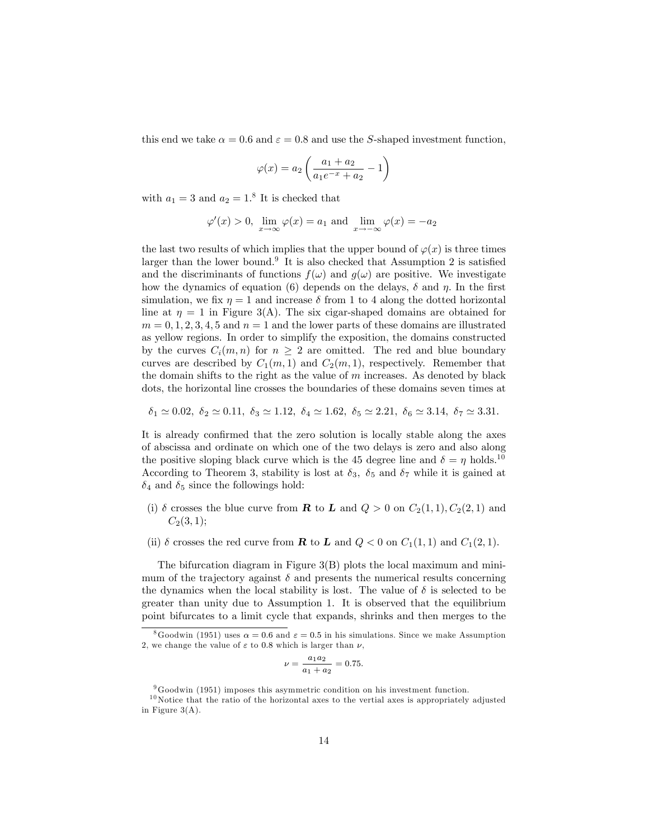this end we take  $\alpha = 0.6$  and  $\varepsilon = 0.8$  and use the S-shaped investment function,

$$
\varphi(x) = a_2 \left( \frac{a_1 + a_2}{a_1 e^{-x} + a_2} - 1 \right)
$$

with  $a_1 = 3$  and  $a_2 = 1$ .<sup>8</sup> It is checked that

$$
\varphi'(x) > 0
$$
,  $\lim_{x \to \infty} \varphi(x) = a_1$  and  $\lim_{x \to -\infty} \varphi(x) = -a_2$ 

the last two results of which implies that the upper bound of  $\varphi(x)$  is three times larger than the lower bound.<sup>9</sup> It is also checked that Assumption 2 is satisfied and the discriminants of functions  $f(\omega)$  and  $g(\omega)$  are positive. We investigate how the dynamics of equation (6) depends on the delays,  $\delta$  and  $\eta$ . In the first simulation, we fix  $\eta = 1$  and increase  $\delta$  from 1 to 4 along the dotted horizontal line at  $\eta = 1$  in Figure 3(A). The six cigar-shaped domains are obtained for  $m = 0, 1, 2, 3, 4, 5$  and  $n = 1$  and the lower parts of these domains are illustrated as yellow regions. In order to simplify the exposition, the domains constructed by the curves  $C_i(m, n)$  for  $n \geq 2$  are omitted. The red and blue boundary curves are described by  $C_1(m,1)$  and  $C_2(m,1)$ , respectively. Remember that the domain shifts to the right as the value of  $m$  increases. As denoted by black dots, the horizontal line crosses the boundaries of these domains seven times at

$$
\delta_1 \simeq 0.02, \ \delta_2 \simeq 0.11, \ \delta_3 \simeq 1.12, \ \delta_4 \simeq 1.62, \ \delta_5 \simeq 2.21, \ \delta_6 \simeq 3.14, \ \delta_7 \simeq 3.31.
$$

It is already confirmed that the zero solution is locally stable along the axes of abscissa and ordinate on which one of the two delays is zero and also along the positive sloping black curve which is the 45 degree line and  $\delta = \eta$  holds.<sup>10</sup> According to Theorem 3, stability is lost at  $\delta_3$ ,  $\delta_5$  and  $\delta_7$  while it is gained at  $\delta_4$  and  $\delta_5$  since the followings hold:

- (i)  $\delta$  crosses the blue curve from **R** to **L** and  $Q > 0$  on  $C_2(1,1), C_2(2,1)$  and  $C_2(3, 1);$
- (ii)  $\delta$  crosses the red curve from **R** to **L** and  $Q < 0$  on  $C_1(1,1)$  and  $C_1(2,1)$ .

The bifurcation diagram in Figure 3(B) plots the local maximum and minimum of the trajectory against  $\delta$  and presents the numerical results concerning the dynamics when the local stability is lost. The value of  $\delta$  is selected to be greater than unity due to Assumption 1. It is observed that the equilibrium point bifurcates to a limit cycle that expands, shrinks and then merges to the

$$
\nu = \frac{a_1 a_2}{a_1 + a_2} = 0.75.
$$

<sup>&</sup>lt;sup>8</sup>Goodwin (1951) uses  $\alpha = 0.6$  and  $\varepsilon = 0.5$  in his simulations. Since we make Assumption 2, we change the value of  $\varepsilon$  to 0.8 which is larger than  $\nu$ ,

<sup>9</sup>Goodwin (1951) imposes this asymmetric condition on his investment function.

 $10$  Notice that the ratio of the horizontal axes to the vertial axes is appropriately adjusted in Figure 3(A).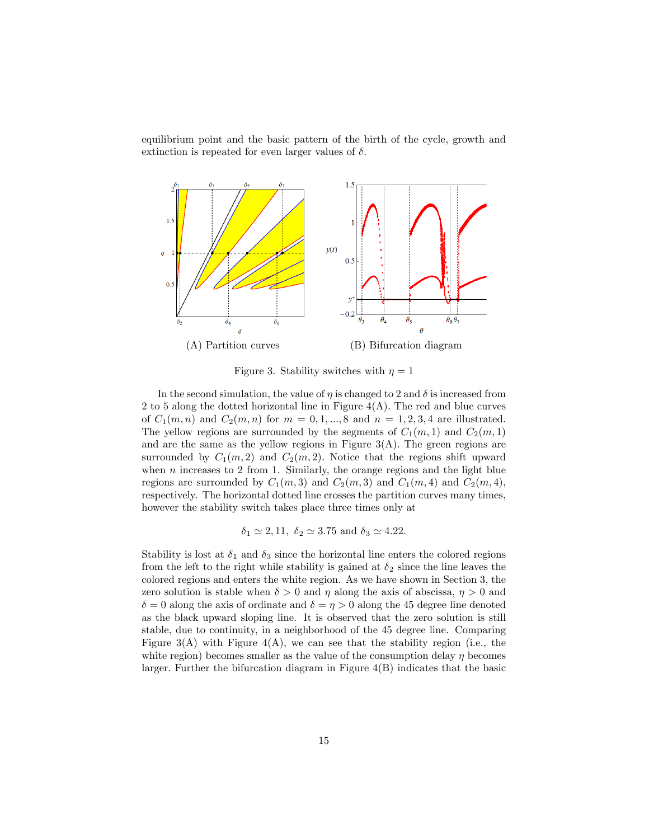equilibrium point and the basic pattern of the birth of the cycle, growth and extinction is repeated for even larger values of  $\delta$ .



Figure 3. Stability switches with  $\eta = 1$ 

In the second simulation, the value of  $\eta$  is changed to 2 and  $\delta$  is increased from 2 to 5 along the dotted horizontal line in Figure  $4(A)$ . The red and blue curves of  $C_1(m, n)$  and  $C_2(m, n)$  for  $m = 0, 1, ..., 8$  and  $n = 1, 2, 3, 4$  are illustrated. The yellow regions are surrounded by the segments of  $C_1(m, 1)$  and  $C_2(m, 1)$ and are the same as the yellow regions in Figure  $3(A)$ . The green regions are surrounded by  $C_1(m, 2)$  and  $C_2(m, 2)$ . Notice that the regions shift upward when  $n$  increases to 2 from 1. Similarly, the orange regions and the light blue regions are surrounded by  $C_1(m,3)$  and  $C_2(m,3)$  and  $C_1(m,4)$  and  $C_2(m,4)$ , respectively. The horizontal dotted line crosses the partition curves many times, however the stability switch takes place three times only at

$$
\delta_1 \simeq 2, 11, \ \delta_2 \simeq 3.75 \text{ and } \delta_3 \simeq 4.22.
$$

Stability is lost at  $\delta_1$  and  $\delta_3$  since the horizontal line enters the colored regions from the left to the right while stability is gained at  $\delta_2$  since the line leaves the colored regions and enters the white region. As we have shown in Section 3, the zero solution is stable when  $\delta > 0$  and  $\eta$  along the axis of abscissa,  $\eta > 0$  and  $\delta = 0$  along the axis of ordinate and  $\delta = \eta > 0$  along the 45 degree line denoted as the black upward sloping line. It is observed that the zero solution is still stable, due to continuity, in a neighborhood of the 45 degree line. Comparing Figure  $3(A)$  with Figure  $4(A)$ , we can see that the stability region (i.e., the white region) becomes smaller as the value of the consumption delay  $\eta$  becomes larger. Further the bifurcation diagram in Figure 4(B) indicates that the basic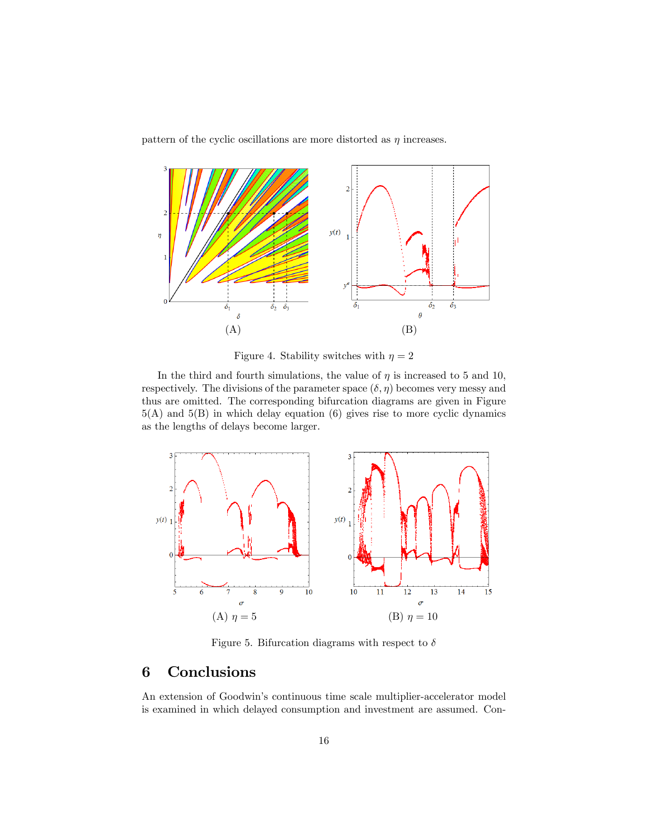pattern of the cyclic oscillations are more distorted as  $\eta$  increases.



Figure 4. Stability switches with  $\eta = 2$ 

In the third and fourth simulations, the value of  $\eta$  is increased to 5 and 10, respectively. The divisions of the parameter space  $(\delta, \eta)$  becomes very messy and thus are omitted. The corresponding bifurcation diagrams are given in Figure  $5(A)$  and  $5(B)$  in which delay equation (6) gives rise to more cyclic dynamics as the lengths of delays become larger.



Figure 5. Bifurcation diagrams with respect to  $\delta$ 

## 6 Conclusions

An extension of Goodwin's continuous time scale multiplier-accelerator model is examined in which delayed consumption and investment are assumed. Con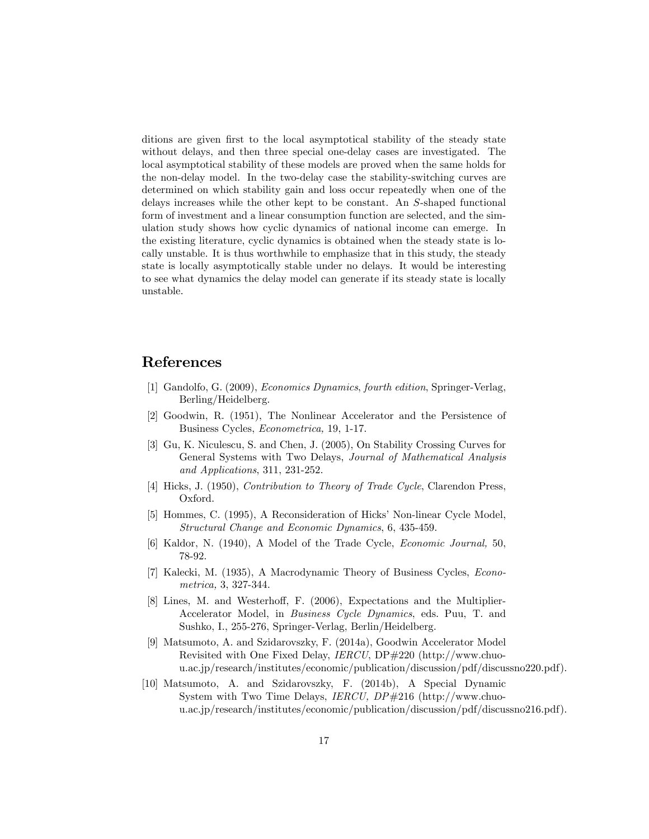ditions are given first to the local asymptotical stability of the steady state without delays, and then three special one-delay cases are investigated. The local asymptotical stability of these models are proved when the same holds for the non-delay model. In the two-delay case the stability-switching curves are determined on which stability gain and loss occur repeatedly when one of the delays increases while the other kept to be constant. An S-shaped functional form of investment and a linear consumption function are selected, and the simulation study shows how cyclic dynamics of national income can emerge. In the existing literature, cyclic dynamics is obtained when the steady state is locally unstable. It is thus worthwhile to emphasize that in this study, the steady state is locally asymptotically stable under no delays. It would be interesting to see what dynamics the delay model can generate if its steady state is locally unstable.

#### References

- [1] Gandolfo, G. (2009), Economics Dynamics, fourth edition, Springer-Verlag, Berling/Heidelberg.
- [2] Goodwin, R. (1951), The Nonlinear Accelerator and the Persistence of Business Cycles, Econometrica, 19, 1-17.
- [3] Gu, K. Niculescu, S. and Chen, J. (2005), On Stability Crossing Curves for General Systems with Two Delays, Journal of Mathematical Analysis and Applications, 311, 231-252.
- [4] Hicks, J. (1950), Contribution to Theory of Trade Cycle, Clarendon Press, Oxford.
- [5] Hommes, C. (1995), A Reconsideration of Hicks' Non-linear Cycle Model, Structural Change and Economic Dynamics, 6, 435-459.
- [6] Kaldor, N. (1940), A Model of the Trade Cycle, Economic Journal, 50, 78-92.
- [7] Kalecki, M. (1935), A Macrodynamic Theory of Business Cycles, Econometrica, 3, 327-344.
- [8] Lines, M. and Westerhoff, F. (2006), Expectations and the Multiplier-Accelerator Model, in Business Cycle Dynamics, eds. Puu, T. and Sushko, I., 255-276, Springer-Verlag, Berlin/Heidelberg.
- [9] Matsumoto, A. and Szidarovszky, F. (2014a), Goodwin Accelerator Model Revisited with One Fixed Delay, IERCU, DP#220 (http://www.chuou.ac.jp/research/institutes/economic/publication/discussion/pdf/discussno220.pdf).
- [10] Matsumoto, A. and Szidarovszky, F. (2014b), A Special Dynamic System with Two Time Delays, IERCU, DP#216 (http://www.chuou.ac.jp/research/institutes/economic/publication/discussion/pdf/discussno216.pdf).